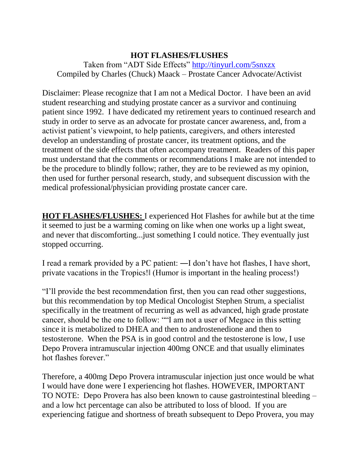## **HOT FLASHES/FLUSHES**

Taken from "ADT Side Effects"<http://tinyurl.com/5snxzx> Compiled by Charles (Chuck) Maack – Prostate Cancer Advocate/Activist

Disclaimer: Please recognize that I am not a Medical Doctor. I have been an avid student researching and studying prostate cancer as a survivor and continuing patient since 1992. I have dedicated my retirement years to continued research and study in order to serve as an advocate for prostate cancer awareness, and, from a activist patient's viewpoint, to help patients, caregivers, and others interested develop an understanding of prostate cancer, its treatment options, and the treatment of the side effects that often accompany treatment. Readers of this paper must understand that the comments or recommendations I make are not intended to be the procedure to blindly follow; rather, they are to be reviewed as my opinion, then used for further personal research, study, and subsequent discussion with the medical professional/physician providing prostate cancer care.

**HOT FLASHES/FLUSHES:** I experienced Hot Flashes for awhile but at the time it seemed to just be a warming coming on like when one works up a light sweat, and never that discomforting...just something I could notice. They eventually just stopped occurring.

I read a remark provided by a PC patient: ―I don't have hot flashes, I have short, private vacations in the Tropics!‖ (Humor is important in the healing process!)

"I'll provide the best recommendation first, then you can read other suggestions, but this recommendation by top Medical Oncologist Stephen Strum, a specialist specifically in the treatment of recurring as well as advanced, high grade prostate cancer, should be the one to follow: ""I am not a user of Megace in this setting since it is metabolized to DHEA and then to androstenedione and then to testosterone. When the PSA is in good control and the testosterone is low, I use Depo Provera intramuscular injection 400mg ONCE and that usually eliminates hot flashes forever."

Therefore, a 400mg Depo Provera intramuscular injection just once would be what I would have done were I experiencing hot flashes. HOWEVER, IMPORTANT TO NOTE: Depo Provera has also been known to cause gastrointestinal bleeding – and a low hct percentage can also be attributed to loss of blood. If you are experiencing fatigue and shortness of breath subsequent to Depo Provera, you may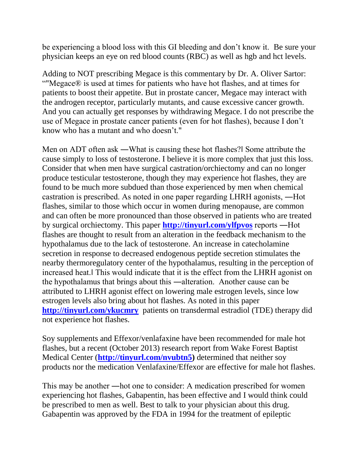be experiencing a blood loss with this GI bleeding and don't know it. Be sure your physician keeps an eye on red blood counts (RBC) as well as hgb and hct levels.

Adding to NOT prescribing Megace is this commentary by Dr. A. Oliver Sartor: ""Megace® is used at times for patients who have hot flashes, and at times for patients to boost their appetite. But in prostate cancer, Megace may interact with the androgen receptor, particularly mutants, and cause excessive cancer growth. And you can actually get responses by withdrawing Megace. I do not prescribe the use of Megace in prostate cancer patients (even for hot flashes), because I don't know who has a mutant and who doesn't."

Men on ADT often ask ―What is causing these hot flashes?‖ Some attribute the cause simply to loss of testosterone. I believe it is more complex that just this loss. Consider that when men have surgical castration/orchiectomy and can no longer produce testicular testosterone, though they may experience hot flashes, they are found to be much more subdued than those experienced by men when chemical castration is prescribed. As noted in one paper regarding LHRH agonists, ―Hot flashes, similar to those which occur in women during menopause, are common and can often be more pronounced than those observed in patients who are treated by surgical orchiectomy. This paper **<http://tinyurl.com/ylfpvos>** reports ―Hot flashes are thought to result from an alteration in the feedback mechanism to the hypothalamus due to the lack of testosterone. An increase in catecholamine secretion in response to decreased endogenous peptide secretion stimulates the nearby thermoregulatory center of the hypothalamus, resulting in the perception of increased heat.‖ This would indicate that it is the effect from the LHRH agonist on the hypothalamus that brings about this ―alteration. Another cause can be attributed to LHRH agonist effect on lowering male estrogen levels, since low estrogen levels also bring about hot flashes. As noted in this paper **<http://tinyurl.com/ykucmry>**patients on transdermal estradiol (TDE) therapy did not experience hot flashes.

Soy supplements and Effexor/venlafaxine have been recommended for male hot flashes, but a recent (October 2013) research report from Wake Forest Baptist Medical Center (**[http://tinyurl.com/nvubtn5\)](http://tinyurl.com/nvubtn5)** determined that neither soy products nor the medication Venlafaxine/Effexor are effective for male hot flashes.

This may be another ―hot one to consider: A medication prescribed for women experiencing hot flashes, Gabapentin, has been effective and I would think could be prescribed to men as well. Best to talk to your physician about this drug. Gabapentin was approved by the FDA in 1994 for the treatment of epileptic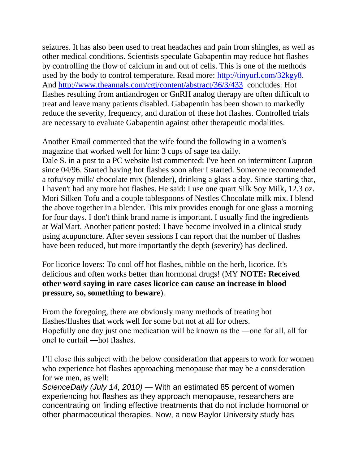seizures. It has also been used to treat headaches and pain from shingles, as well as other medical conditions. Scientists speculate Gabapentin may reduce hot flashes by controlling the flow of calcium in and out of cells. This is one of the methods used by the body to control temperature. Read more: [http://tinyurl.com/32kgy8.](http://tinyurl.com/32kgy8) And<http://www.theannals.com/cgi/content/abstract/36/3/433>concludes: Hot flashes resulting from antiandrogen or GnRH analog therapy are often difficult to treat and leave many patients disabled. Gabapentin has been shown to markedly reduce the severity, frequency, and duration of these hot flashes. Controlled trials are necessary to evaluate Gabapentin against other therapeutic modalities.

Another Email commented that the wife found the following in a women's magazine that worked well for him: 3 cups of sage tea daily. Dale S. in a post to a PC website list commented: I've been on intermittent Lupron since 04/96. Started having hot flashes soon after I started. Someone recommended a tofu/soy milk/ chocolate mix (blender), drinking a glass a day. Since starting that, I haven't had any more hot flashes. He said: I use one quart Silk Soy Milk, 12.3 oz. Mori Silken Tofu and a couple tablespoons of Nestles Chocolate milk mix. I blend the above together in a blender. This mix provides enough for one glass a morning for four days. I don't think brand name is important. I usually find the ingredients at WalMart. Another patient posted: I have become involved in a clinical study using acupuncture. After seven sessions I can report that the number of flashes have been reduced, but more importantly the depth (severity) has declined.

For licorice lovers: To cool off hot flashes, nibble on the herb, licorice. It's delicious and often works better than hormonal drugs! (MY **NOTE: Received other word saying in rare cases licorice can cause an increase in blood pressure, so, something to beware**).

From the foregoing, there are obviously many methods of treating hot flashes/flushes that work well for some but not at all for others. Hopefully one day just one medication will be known as the ―one for all, all for one‖ to curtail ―hot flashes.

I'll close this subject with the below consideration that appears to work for women who experience hot flashes approaching menopause that may be a consideration for we men, as well:

*ScienceDaily (July 14, 2010)* — With an estimated 85 percent of women experiencing hot flashes as they approach menopause, researchers are concentrating on finding effective treatments that do not include hormonal or other pharmaceutical therapies. Now, a new Baylor University study has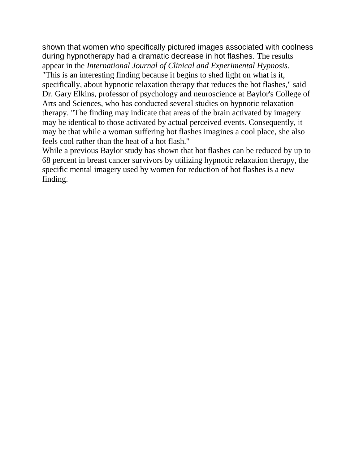shown that women who specifically pictured images associated with coolness during hypnotherapy had a dramatic decrease in hot flashes. The results appear in the *International Journal of Clinical and Experimental Hypnosis*. "This is an interesting finding because it begins to shed light on what is it,

specifically, about hypnotic relaxation therapy that reduces the hot flashes," said Dr. Gary Elkins, professor of psychology and neuroscience at Baylor's College of Arts and Sciences, who has conducted several studies on hypnotic relaxation therapy. "The finding may indicate that areas of the brain activated by imagery may be identical to those activated by actual perceived events. Consequently, it may be that while a woman suffering hot flashes imagines a cool place, she also feels cool rather than the heat of a hot flash."

While a previous Baylor study has shown that hot flashes can be reduced by up to 68 percent in breast cancer survivors by utilizing hypnotic relaxation therapy, the specific mental imagery used by women for reduction of hot flashes is a new finding.